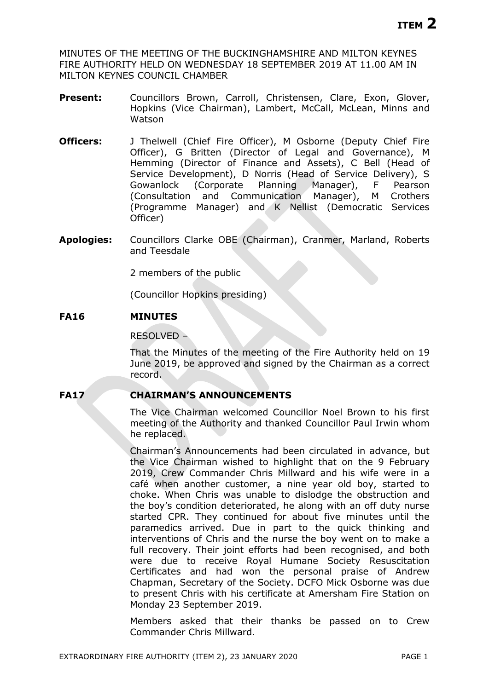MINUTES OF THE MEETING OF THE BUCKINGHAMSHIRE AND MILTON KEYNES FIRE AUTHORITY HELD ON WEDNESDAY 18 SEPTEMBER 2019 AT 11.00 AM IN MILTON KEYNES COUNCIL CHAMBER

- Present: Councillors Brown, Carroll, Christensen, Clare, Exon, Glover, Hopkins (Vice Chairman), Lambert, McCall, McLean, Minns and Watson
- **Officers:** J Thelwell (Chief Fire Officer), M Osborne (Deputy Chief Fire Officer), G Britten (Director of Legal and Governance), M Hemming (Director of Finance and Assets), C Bell (Head of Service Development), D Norris (Head of Service Delivery), S Gowanlock (Corporate Planning Manager), F Pearson (Consultation and Communication Manager), M Crothers (Programme Manager) and K Nellist (Democratic Services Officer)
- **Apologies:** Councillors Clarke OBE (Chairman), Cranmer, Marland, Roberts and Teesdale

2 members of the public

(Councillor Hopkins presiding)

## **FA16 MINUTES**

RESOLVED –

That the Minutes of the meeting of the Fire Authority held on 19 June 2019, be approved and signed by the Chairman as a correct record.

# **FA17 CHAIRMAN'S ANNOUNCEMENTS**

The Vice Chairman welcomed Councillor Noel Brown to his first meeting of the Authority and thanked Councillor Paul Irwin whom he replaced.

Chairman's Announcements had been circulated in advance, but the Vice Chairman wished to highlight that on the 9 February 2019, Crew Commander Chris Millward and his wife were in a café when another customer, a nine year old boy, started to choke. When Chris was unable to dislodge the obstruction and the boy's condition deteriorated, he along with an off duty nurse started CPR. They continued for about five minutes until the paramedics arrived. Due in part to the quick thinking and interventions of Chris and the nurse the boy went on to make a full recovery. Their joint efforts had been recognised, and both were due to receive Royal Humane Society Resuscitation Certificates and had won the personal praise of Andrew Chapman, Secretary of the Society. DCFO Mick Osborne was due to present Chris with his certificate at Amersham Fire Station on Monday 23 September 2019.

Members asked that their thanks be passed on to Crew Commander Chris Millward.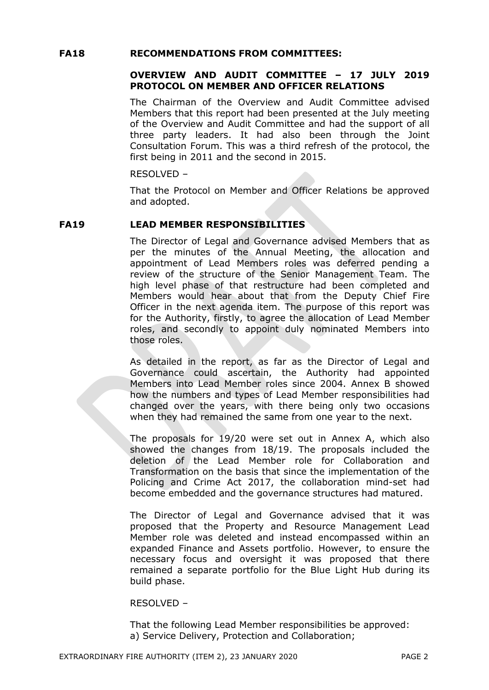## **FA18 RECOMMENDATIONS FROM COMMITTEES:**

## **OVERVIEW AND AUDIT COMMITTEE – 17 JULY 2019 PROTOCOL ON MEMBER AND OFFICER RELATIONS**

The Chairman of the Overview and Audit Committee advised Members that this report had been presented at the July meeting of the Overview and Audit Committee and had the support of all three party leaders. It had also been through the Joint Consultation Forum. This was a third refresh of the protocol, the first being in 2011 and the second in 2015.

#### RESOLVED –

That the Protocol on Member and Officer Relations be approved and adopted.

## **FA19 LEAD MEMBER RESPONSIBILITIES**

The Director of Legal and Governance advised Members that as per the minutes of the Annual Meeting, the allocation and appointment of Lead Members roles was deferred pending a review of the structure of the Senior Management Team. The high level phase of that restructure had been completed and Members would hear about that from the Deputy Chief Fire Officer in the next agenda item. The purpose of this report was for the Authority, firstly, to agree the allocation of Lead Member roles, and secondly to appoint duly nominated Members into those roles.

As detailed in the report, as far as the Director of Legal and Governance could ascertain, the Authority had appointed Members into Lead Member roles since 2004. Annex B showed how the numbers and types of Lead Member responsibilities had changed over the years, with there being only two occasions when they had remained the same from one year to the next.

The proposals for 19/20 were set out in Annex A, which also showed the changes from 18/19. The proposals included the deletion of the Lead Member role for Collaboration and Transformation on the basis that since the implementation of the Policing and Crime Act 2017, the collaboration mind-set had become embedded and the governance structures had matured.

The Director of Legal and Governance advised that it was proposed that the Property and Resource Management Lead Member role was deleted and instead encompassed within an expanded Finance and Assets portfolio. However, to ensure the necessary focus and oversight it was proposed that there remained a separate portfolio for the Blue Light Hub during its build phase.

## RESOLVED –

That the following Lead Member responsibilities be approved: a) Service Delivery, Protection and Collaboration;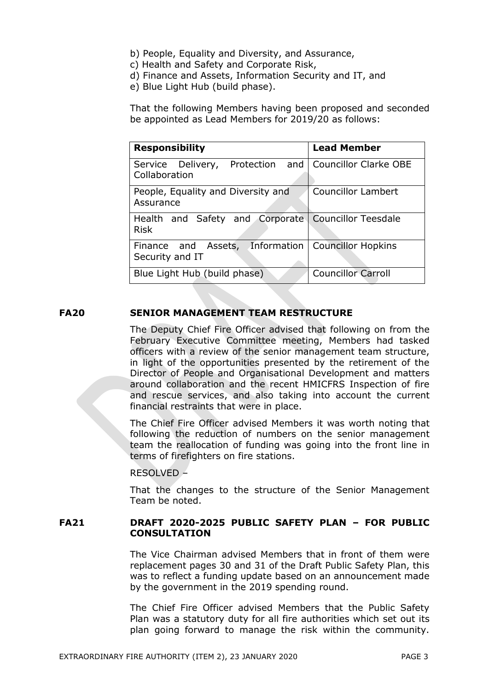- b) People, Equality and Diversity, and Assurance,
- c) Health and Safety and Corporate Risk,
- d) Finance and Assets, Information Security and IT, and
- e) Blue Light Hub (build phase).

That the following Members having been proposed and seconded be appointed as Lead Members for 2019/20 as follows:

| <b>Responsibility</b>                                                   | <b>Lead Member</b>           |
|-------------------------------------------------------------------------|------------------------------|
| Service Delivery,<br>Protection<br>and<br>Collaboration                 | <b>Councillor Clarke OBE</b> |
| People, Equality and Diversity and<br>Assurance                         | <b>Councillor Lambert</b>    |
| Health and Safety and Corporate   Councillor Teesdale<br><b>Risk</b>    |                              |
| Finance and Assets, Information   Councillor Hopkins<br>Security and IT |                              |
| Blue Light Hub (build phase)                                            | <b>Councillor Carroll</b>    |

## **FA20 SENIOR MANAGEMENT TEAM RESTRUCTURE**

The Deputy Chief Fire Officer advised that following on from the February Executive Committee meeting, Members had tasked officers with a review of the senior management team structure, in light of the opportunities presented by the retirement of the Director of People and Organisational Development and matters around collaboration and the recent HMICFRS Inspection of fire and rescue services, and also taking into account the current financial restraints that were in place.

The Chief Fire Officer advised Members it was worth noting that following the reduction of numbers on the senior management team the reallocation of funding was going into the front line in terms of firefighters on fire stations.

## RESOLVED –

That the changes to the structure of the Senior Management Team be noted.

## **FA21 DRAFT 2020-2025 PUBLIC SAFETY PLAN – FOR PUBLIC CONSULTATION**

The Vice Chairman advised Members that in front of them were replacement pages 30 and 31 of the Draft Public Safety Plan, this was to reflect a funding update based on an announcement made by the government in the 2019 spending round.

The Chief Fire Officer advised Members that the Public Safety Plan was a statutory duty for all fire authorities which set out its plan going forward to manage the risk within the community.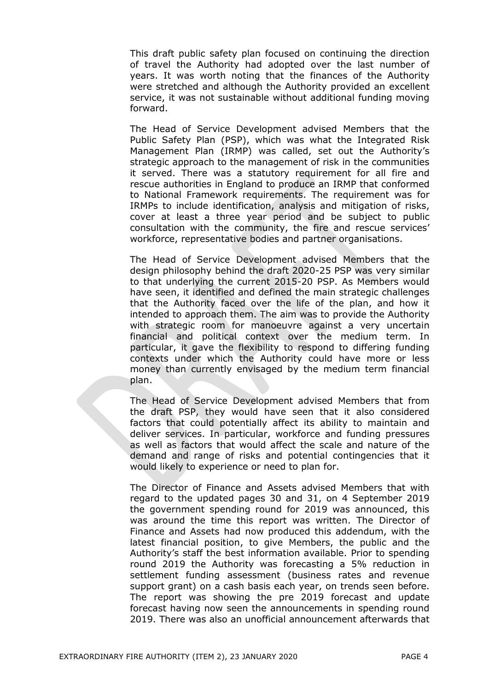This draft public safety plan focused on continuing the direction of travel the Authority had adopted over the last number of years. It was worth noting that the finances of the Authority were stretched and although the Authority provided an excellent service, it was not sustainable without additional funding moving forward.

The Head of Service Development advised Members that the Public Safety Plan (PSP), which was what the Integrated Risk Management Plan (IRMP) was called, set out the Authority's strategic approach to the management of risk in the communities it served. There was a statutory requirement for all fire and rescue authorities in England to produce an IRMP that conformed to National Framework requirements. The requirement was for IRMPs to include identification, analysis and mitigation of risks, cover at least a three year period and be subject to public consultation with the community, the fire and rescue services' workforce, representative bodies and partner organisations.

The Head of Service Development advised Members that the design philosophy behind the draft 2020-25 PSP was very similar to that underlying the current 2015-20 PSP. As Members would have seen, it identified and defined the main strategic challenges that the Authority faced over the life of the plan, and how it intended to approach them. The aim was to provide the Authority with strategic room for manoeuvre against a very uncertain financial and political context over the medium term. In particular, it gave the flexibility to respond to differing funding contexts under which the Authority could have more or less money than currently envisaged by the medium term financial plan.

The Head of Service Development advised Members that from the draft PSP, they would have seen that it also considered factors that could potentially affect its ability to maintain and deliver services. In particular, workforce and funding pressures as well as factors that would affect the scale and nature of the demand and range of risks and potential contingencies that it would likely to experience or need to plan for.

The Director of Finance and Assets advised Members that with regard to the updated pages 30 and 31, on 4 September 2019 the government spending round for 2019 was announced, this was around the time this report was written. The Director of Finance and Assets had now produced this addendum, with the latest financial position, to give Members, the public and the Authority's staff the best information available. Prior to spending round 2019 the Authority was forecasting a 5% reduction in settlement funding assessment (business rates and revenue support grant) on a cash basis each year, on trends seen before. The report was showing the pre 2019 forecast and update forecast having now seen the announcements in spending round 2019. There was also an unofficial announcement afterwards that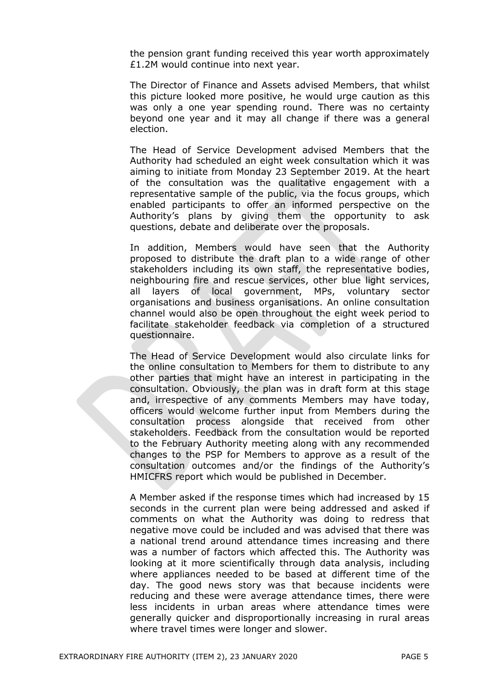the pension grant funding received this year worth approximately £1.2M would continue into next year.

The Director of Finance and Assets advised Members, that whilst this picture looked more positive, he would urge caution as this was only a one year spending round. There was no certainty beyond one year and it may all change if there was a general election.

The Head of Service Development advised Members that the Authority had scheduled an eight week consultation which it was aiming to initiate from Monday 23 September 2019. At the heart of the consultation was the qualitative engagement with a representative sample of the public, via the focus groups, which enabled participants to offer an informed perspective on the Authority's plans by giving them the opportunity to ask questions, debate and deliberate over the proposals.

In addition, Members would have seen that the Authority proposed to distribute the draft plan to a wide range of other stakeholders including its own staff, the representative bodies, neighbouring fire and rescue services, other blue light services, all layers of local government, MPs, voluntary sector organisations and business organisations. An online consultation channel would also be open throughout the eight week period to facilitate stakeholder feedback via completion of a structured questionnaire.

The Head of Service Development would also circulate links for the online consultation to Members for them to distribute to any other parties that might have an interest in participating in the consultation. Obviously, the plan was in draft form at this stage and, irrespective of any comments Members may have today, officers would welcome further input from Members during the consultation process alongside that received from other stakeholders. Feedback from the consultation would be reported to the February Authority meeting along with any recommended changes to the PSP for Members to approve as a result of the consultation outcomes and/or the findings of the Authority's HMICFRS report which would be published in December.

A Member asked if the response times which had increased by 15 seconds in the current plan were being addressed and asked if comments on what the Authority was doing to redress that negative move could be included and was advised that there was a national trend around attendance times increasing and there was a number of factors which affected this. The Authority was looking at it more scientifically through data analysis, including where appliances needed to be based at different time of the day. The good news story was that because incidents were reducing and these were average attendance times, there were less incidents in urban areas where attendance times were generally quicker and disproportionally increasing in rural areas where travel times were longer and slower.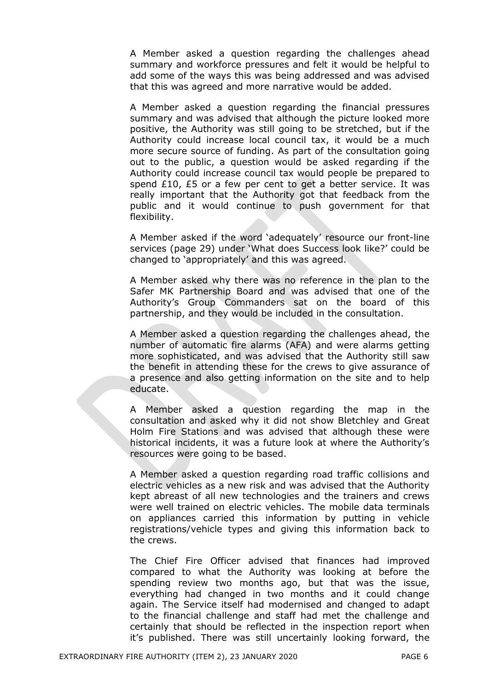A Member asked a question regarding the challenges ahead summary and workforce pressures and felt it would be helpful to add some of the ways this was being addressed and was advised that this was agreed and more narrative would be added.

A Member asked a question regarding the financial pressures summary and was advised that although the picture looked more positive, the Authority was still going to be stretched, but if the Authority could increase local council tax, it would be a much more secure source of funding. As part of the consultation going out to the public, a question would be asked regarding if the Authority could increase council tax would people be prepared to spend £10, £5 or a few per cent to get a better service. It was really important that the Authority got that feedback from the public and it would continue to push government for that flexibility.

A Member asked if the word 'adequately' resource our front-line services (page 29) under 'What does Success look like?' could be changed to 'appropriately' and this was agreed.

A Member asked why there was no reference in the plan to the Safer MK Partnership Board and was advised that one of the Authority's Group Commanders sat on the board of this partnership, and they would be included in the consultation.

A Member asked a question regarding the challenges ahead, the number of automatic fire alarms (AFA) and were alarms getting more sophisticated, and was advised that the Authority still saw the benefit in attending these for the crews to give assurance of a presence and also getting information on the site and to help educate.

A Member asked a question regarding the map in the consultation and asked why it did not show Bletchley and Great Holm Fire Stations and was advised that although these were historical incidents, it was a future look at where the Authority's resources were going to be based.

A Member asked a question regarding road traffic collisions and electric vehicles as a new risk and was advised that the Authority kept abreast of all new technologies and the trainers and crews were well trained on electric vehicles. The mobile data terminals on appliances carried this information by putting in vehicle registrations/vehicle types and giving this information back to the crews.

The Chief Fire Officer advised that finances had improved compared to what the Authority was looking at before the spending review two months ago, but that was the issue, everything had changed in two months and it could change again. The Service itself had modernised and changed to adapt to the financial challenge and staff had met the challenge and certainly that should be reflected in the inspection report when it's published. There was still uncertainly looking forward, the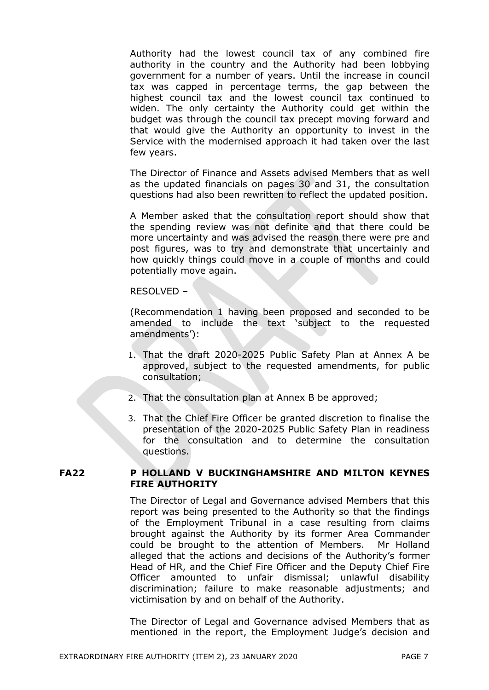Authority had the lowest council tax of any combined fire authority in the country and the Authority had been lobbying government for a number of years. Until the increase in council tax was capped in percentage terms, the gap between the highest council tax and the lowest council tax continued to widen. The only certainty the Authority could get within the budget was through the council tax precept moving forward and that would give the Authority an opportunity to invest in the Service with the modernised approach it had taken over the last few years.

The Director of Finance and Assets advised Members that as well as the updated financials on pages 30 and 31, the consultation questions had also been rewritten to reflect the updated position.

A Member asked that the consultation report should show that the spending review was not definite and that there could be more uncertainty and was advised the reason there were pre and post figures, was to try and demonstrate that uncertainly and how quickly things could move in a couple of months and could potentially move again.

#### RESOLVED –

(Recommendation 1 having been proposed and seconded to be amended to include the text 'subject to the requested amendments'):

- 1. That the draft 2020-2025 Public Safety Plan at Annex A be approved, subject to the requested amendments, for public consultation;
- 2. That the consultation plan at Annex B be approved;
- 3. That the Chief Fire Officer be granted discretion to finalise the presentation of the 2020-2025 Public Safety Plan in readiness for the consultation and to determine the consultation questions.

## **FA22 P HOLLAND V BUCKINGHAMSHIRE AND MILTON KEYNES FIRE AUTHORITY**

The Director of Legal and Governance advised Members that this report was being presented to the Authority so that the findings of the Employment Tribunal in a case resulting from claims brought against the Authority by its former Area Commander could be brought to the attention of Members. Mr Holland alleged that the actions and decisions of the Authority's former Head of HR, and the Chief Fire Officer and the Deputy Chief Fire Officer amounted to unfair dismissal; unlawful disability discrimination; failure to make reasonable adjustments; and victimisation by and on behalf of the Authority.

The Director of Legal and Governance advised Members that as mentioned in the report, the Employment Judge's decision and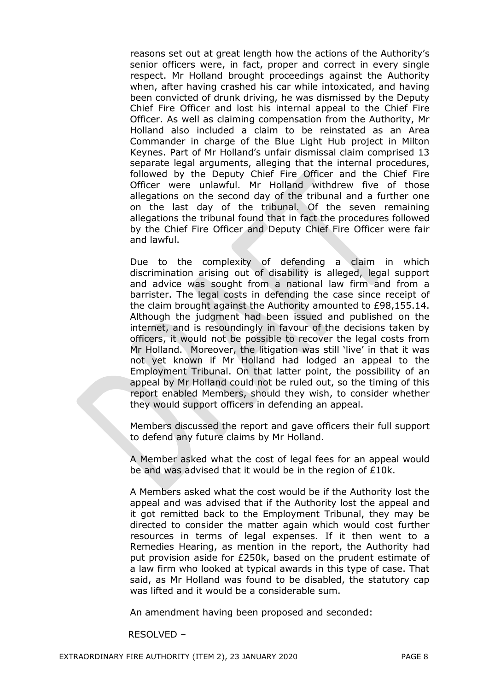reasons set out at great length how the actions of the Authority's senior officers were, in fact, proper and correct in every single respect. Mr Holland brought proceedings against the Authority when, after having crashed his car while intoxicated, and having been convicted of drunk driving, he was dismissed by the Deputy Chief Fire Officer and lost his internal appeal to the Chief Fire Officer. As well as claiming compensation from the Authority, Mr Holland also included a claim to be reinstated as an Area Commander in charge of the Blue Light Hub project in Milton Keynes. Part of Mr Holland's unfair dismissal claim comprised 13 separate legal arguments, alleging that the internal procedures, followed by the Deputy Chief Fire Officer and the Chief Fire Officer were unlawful. Mr Holland withdrew five of those allegations on the second day of the tribunal and a further one on the last day of the tribunal. Of the seven remaining allegations the tribunal found that in fact the procedures followed by the Chief Fire Officer and Deputy Chief Fire Officer were fair and lawful.

Due to the complexity of defending a claim in which discrimination arising out of disability is alleged, legal support and advice was sought from a national law firm and from a barrister. The legal costs in defending the case since receipt of the claim brought against the Authority amounted to £98,155.14. Although the judgment had been issued and published on the internet, and is resoundingly in favour of the decisions taken by officers, it would not be possible to recover the legal costs from Mr Holland. Moreover, the litigation was still 'live' in that it was not yet known if Mr Holland had lodged an appeal to the Employment Tribunal. On that latter point, the possibility of an appeal by Mr Holland could not be ruled out, so the timing of this report enabled Members, should they wish, to consider whether they would support officers in defending an appeal.

Members discussed the report and gave officers their full support to defend any future claims by Mr Holland.

A Member asked what the cost of legal fees for an appeal would be and was advised that it would be in the region of £10k.

A Members asked what the cost would be if the Authority lost the appeal and was advised that if the Authority lost the appeal and it got remitted back to the Employment Tribunal, they may be directed to consider the matter again which would cost further resources in terms of legal expenses. If it then went to a Remedies Hearing, as mention in the report, the Authority had put provision aside for £250k, based on the prudent estimate of a law firm who looked at typical awards in this type of case. That said, as Mr Holland was found to be disabled, the statutory cap was lifted and it would be a considerable sum.

An amendment having been proposed and seconded:

RESOLVED –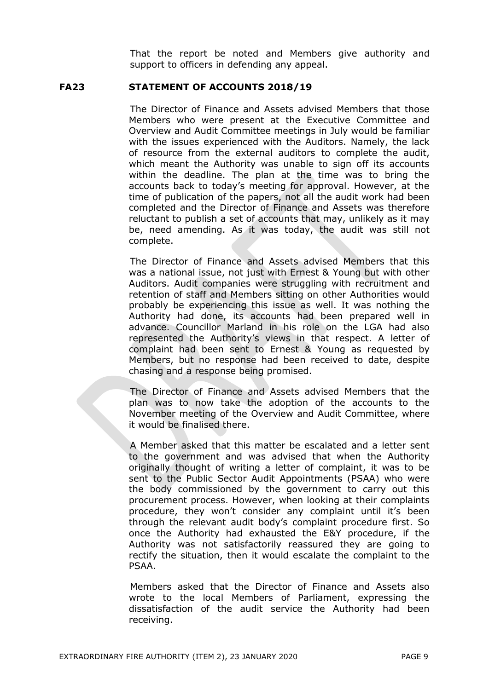That the report be noted and Members give authority and support to officers in defending any appeal.

#### **FA23 STATEMENT OF ACCOUNTS 2018/19**

The Director of Finance and Assets advised Members that those Members who were present at the Executive Committee and Overview and Audit Committee meetings in July would be familiar with the issues experienced with the Auditors. Namely, the lack of resource from the external auditors to complete the audit, which meant the Authority was unable to sign off its accounts within the deadline. The plan at the time was to bring the accounts back to today's meeting for approval. However, at the time of publication of the papers, not all the audit work had been completed and the Director of Finance and Assets was therefore reluctant to publish a set of accounts that may, unlikely as it may be, need amending. As it was today, the audit was still not complete.

The Director of Finance and Assets advised Members that this was a national issue, not just with Ernest & Young but with other Auditors. Audit companies were struggling with recruitment and retention of staff and Members sitting on other Authorities would probably be experiencing this issue as well. It was nothing the Authority had done, its accounts had been prepared well in advance. Councillor Marland in his role on the LGA had also represented the Authority's views in that respect. A letter of complaint had been sent to Ernest & Young as requested by Members, but no response had been received to date, despite chasing and a response being promised.

The Director of Finance and Assets advised Members that the plan was to now take the adoption of the accounts to the November meeting of the Overview and Audit Committee, where it would be finalised there.

A Member asked that this matter be escalated and a letter sent to the government and was advised that when the Authority originally thought of writing a letter of complaint, it was to be sent to the Public Sector Audit Appointments (PSAA) who were the body commissioned by the government to carry out this procurement process. However, when looking at their complaints procedure, they won't consider any complaint until it's been through the relevant audit body's complaint procedure first. So once the Authority had exhausted the E&Y procedure, if the Authority was not satisfactorily reassured they are going to rectify the situation, then it would escalate the complaint to the PSAA.

Members asked that the Director of Finance and Assets also wrote to the local Members of Parliament, expressing the dissatisfaction of the audit service the Authority had been receiving.